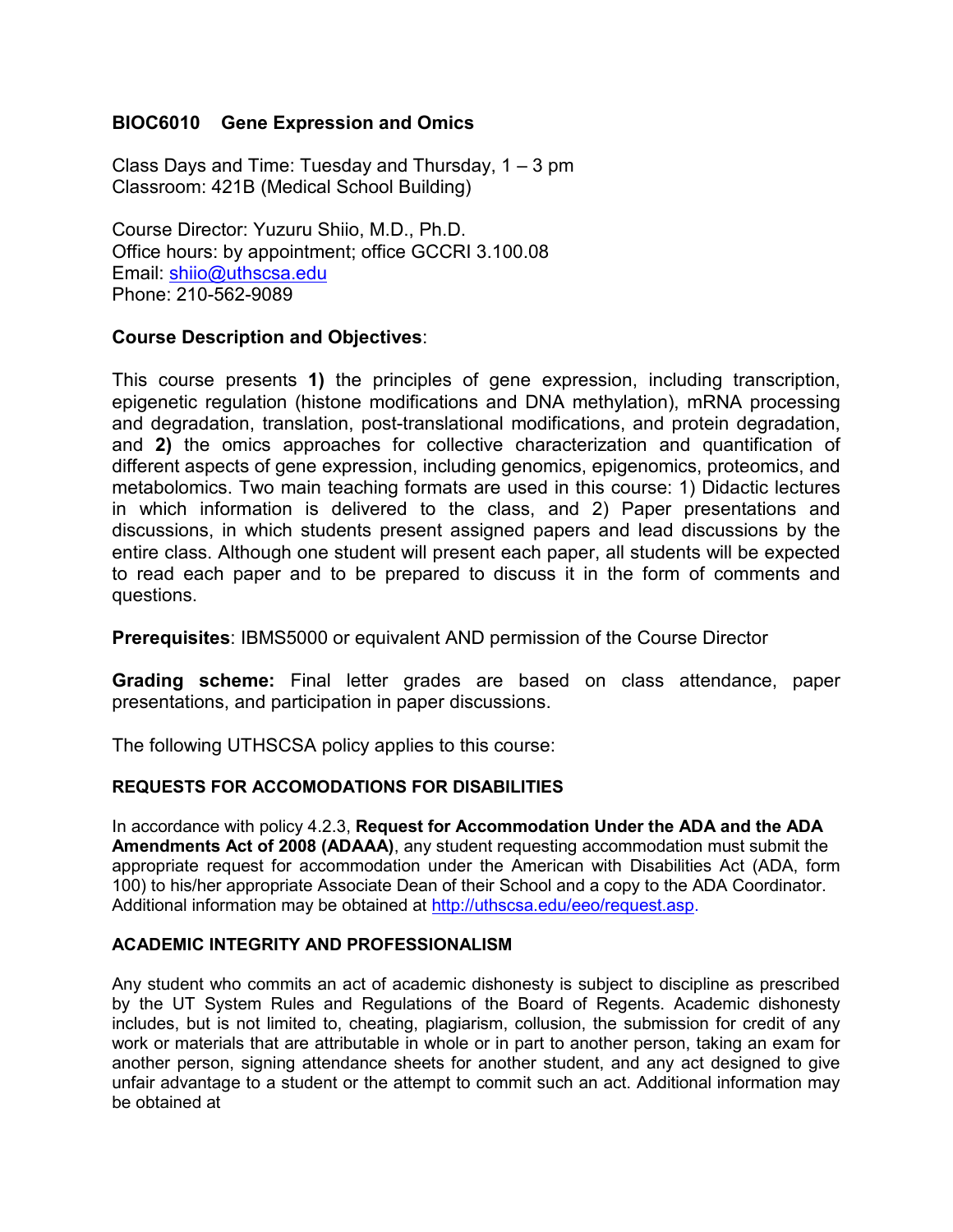# **BIOC6010 Gene Expression and Omics**

Class Days and Time: Tuesday and Thursday,  $1 - 3$  pm Classroom: 421B (Medical School Building)

Course Director: Yuzuru Shiio, M.D., Ph.D. Office hours: by appointment; office GCCRI 3.100.08 Email: [shiio@uthscsa.edu](mailto:shiio@uthscsa.edu) Phone: 210-562-9089

# **Course Description and Objectives**:

This course presents **1)** the principles of gene expression, including transcription, epigenetic regulation (histone modifications and DNA methylation), mRNA processing and degradation, translation, post-translational modifications, and protein degradation, and **2)** the omics approaches for collective characterization and quantification of different aspects of gene expression, including genomics, epigenomics, proteomics, and metabolomics. Two main teaching formats are used in this course: 1) Didactic lectures in which information is delivered to the class, and 2) Paper presentations and discussions, in which students present assigned papers and lead discussions by the entire class. Although one student will present each paper, all students will be expected to read each paper and to be prepared to discuss it in the form of comments and questions.

**Prerequisites**: IBMS5000 or equivalent AND permission of the Course Director

**Grading scheme:** Final letter grades are based on class attendance, paper presentations, and participation in paper discussions.

The following UTHSCSA policy applies to this course:

# **REQUESTS FOR ACCOMODATIONS FOR DISABILITIES**

In accordance with policy 4.2.3, **Request for Accommodation Under the ADA and the ADA Amendments Act of 2008 (ADAAA)**, any student requesting accommodation must submit the appropriate request for accommodation under the American with Disabilities Act (ADA, form 100) to his/her appropriate Associate Dean of their School and a copy to the ADA Coordinator. Additional information may be obtained at [http://uthscsa.edu/eeo/request.asp.](http://uthscsa.edu/eeo/request.asp)

### **ACADEMIC INTEGRITY AND PROFESSIONALISM**

Any student who commits an act of academic dishonesty is subject to discipline as prescribed by the UT System Rules and Regulations of the Board of Regents. Academic dishonesty includes, but is not limited to, cheating, plagiarism, collusion, the submission for credit of any work or materials that are attributable in whole or in part to another person, taking an exam for another person, signing attendance sheets for another student, and any act designed to give unfair advantage to a student or the attempt to commit such an act. Additional information may be obtained at